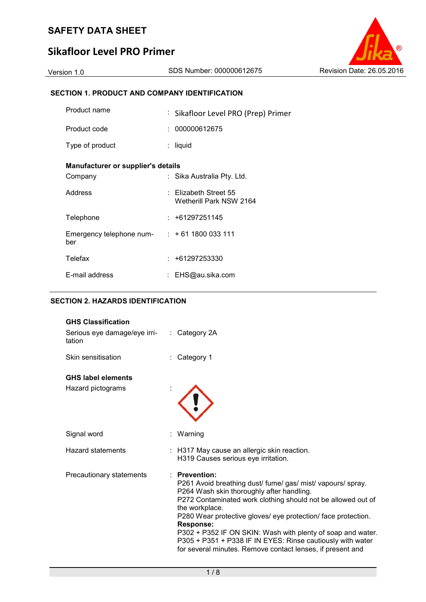# **Sikafloor Level PRO Primer**

## **SECTION 1. PRODUCT AND COMPANY IDENTIFICATION**

| Product name                       | : Sikafloor Level PRO (Prep) Primer                  |  |
|------------------------------------|------------------------------------------------------|--|
| Product code                       | : 000000612675                                       |  |
| Type of product                    | liquid                                               |  |
| Manufacturer or supplier's details |                                                      |  |
| Company                            | : Sika Australia Pty. Ltd.                           |  |
| Address                            | $\pm$ Elizabeth Street 55<br>Wetherill Park NSW 2164 |  |
| Telephone                          | : +61297251145                                       |  |
| Emergency telephone num-<br>ber    | $: +611800033111$                                    |  |
| Telefax                            | $: +61297253330$                                     |  |
| E-mail address                     | EHS@au.sika.com                                      |  |

## **SECTION 2. HAZARDS IDENTIFICATION**

| <b>GHS Classification</b><br>Serious eye damage/eye irri-<br>tation | : Category 2A                                                                                                                                                                                                                                                                                                                                                                                                                                                                               |
|---------------------------------------------------------------------|---------------------------------------------------------------------------------------------------------------------------------------------------------------------------------------------------------------------------------------------------------------------------------------------------------------------------------------------------------------------------------------------------------------------------------------------------------------------------------------------|
| Skin sensitisation                                                  | Category 1                                                                                                                                                                                                                                                                                                                                                                                                                                                                                  |
| <b>GHS label elements</b>                                           |                                                                                                                                                                                                                                                                                                                                                                                                                                                                                             |
| Hazard pictograms                                                   |                                                                                                                                                                                                                                                                                                                                                                                                                                                                                             |
| Signal word                                                         | : Warning                                                                                                                                                                                                                                                                                                                                                                                                                                                                                   |
| <b>Hazard statements</b>                                            | : H317 May cause an allergic skin reaction.<br>H319 Causes serious eye irritation.                                                                                                                                                                                                                                                                                                                                                                                                          |
| Precautionary statements                                            | : Prevention:<br>P261 Avoid breathing dust/ fume/ gas/ mist/ vapours/ spray.<br>P264 Wash skin thoroughly after handling.<br>P272 Contaminated work clothing should not be allowed out of<br>the workplace.<br>P280 Wear protective gloves/ eye protection/ face protection.<br><b>Response:</b><br>P302 + P352 IF ON SKIN: Wash with plenty of soap and water.<br>P305 + P351 + P338 IF IN EYES: Rinse cautiously with water<br>for several minutes. Remove contact lenses, if present and |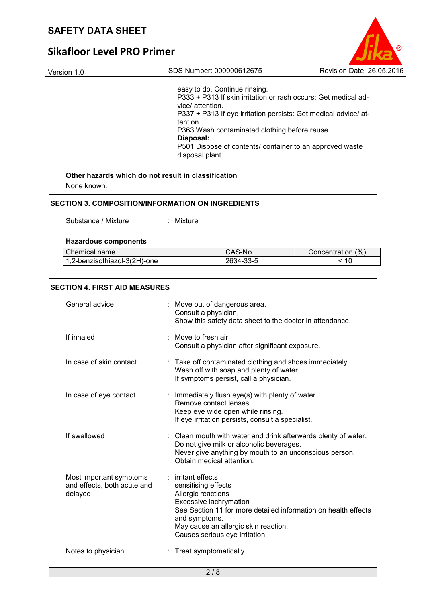# **Sikafloor Level PRO Primer**

| Version 1.0 | SDS Number: 000000612675                                                           | Revision Date: 26.05.2016 |
|-------------|------------------------------------------------------------------------------------|---------------------------|
|             | easy to do. Continue rinsing.                                                      |                           |
|             | P333 + P313 If skin irritation or rash occurs: Get medical ad-<br>vice/ attention. |                           |
|             | P337 + P313 If eye irritation persists: Get medical advice/ at-<br>tention.        |                           |
|             | P363 Wash contaminated clothing before reuse.<br>Disposal:                         |                           |
|             | P501 Dispose of contents/ container to an approved waste<br>disposal plant.        |                           |
|             |                                                                                    |                           |

## **Other hazards which do not result in classification**

None known.

### **SECTION 3. COMPOSITION/INFORMATION ON INGREDIENTS**

Substance / Mixture : Mixture

### **Hazardous components**

| Chemical name                             | CAS-No.   | Concentration (%) |
|-------------------------------------------|-----------|-------------------|
| <sup>1</sup> 1,2-benzisothiazol-3(2H)-one | 2634-33-5 | 10                |

### **SECTION 4. FIRST AID MEASURES**

| General advice                                                    | Move out of dangerous area.<br>Consult a physician.<br>Show this safety data sheet to the doctor in attendance.                                                                                                                                          |
|-------------------------------------------------------------------|----------------------------------------------------------------------------------------------------------------------------------------------------------------------------------------------------------------------------------------------------------|
| If inhaled                                                        | Move to fresh air.<br>Consult a physician after significant exposure.                                                                                                                                                                                    |
| In case of skin contact                                           | : Take off contaminated clothing and shoes immediately.<br>Wash off with soap and plenty of water.<br>If symptoms persist, call a physician.                                                                                                             |
| In case of eye contact                                            | : Immediately flush $eye(s)$ with plenty of water.<br>Remove contact lenses.<br>Keep eye wide open while rinsing.<br>If eye irritation persists, consult a specialist.                                                                                   |
| If swallowed                                                      | Clean mouth with water and drink afterwards plenty of water.<br>Do not give milk or alcoholic beverages.<br>Never give anything by mouth to an unconscious person.<br>Obtain medical attention.                                                          |
| Most important symptoms<br>and effects, both acute and<br>delayed | $:$ irritant effects<br>sensitising effects<br>Allergic reactions<br>Excessive lachrymation<br>See Section 11 for more detailed information on health effects<br>and symptoms.<br>May cause an allergic skin reaction.<br>Causes serious eye irritation. |
| Notes to physician                                                | : Treat symptomatically.                                                                                                                                                                                                                                 |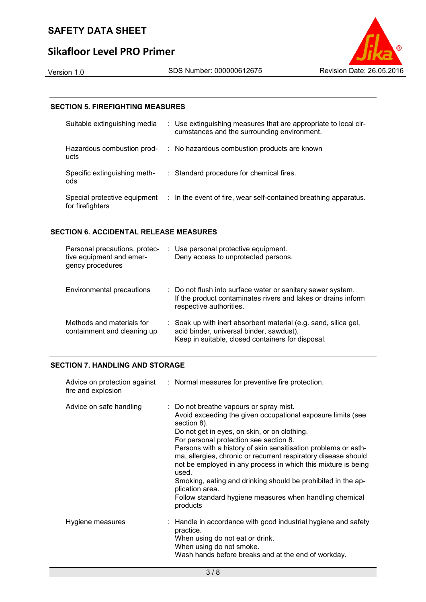# **Sikafloor Level PRO Primer**

### **SECTION 5. FIREFIGHTING MEASURES**

| Suitable extinguishing media                     | : Use extinguishing measures that are appropriate to local cir-<br>cumstances and the surrounding environment. |
|--------------------------------------------------|----------------------------------------------------------------------------------------------------------------|
| Hazardous combustion prod-<br>ucts               | : No hazardous combustion products are known                                                                   |
| Specific extinguishing meth-<br>ods              | : Standard procedure for chemical fires.                                                                       |
| Special protective equipment<br>for firefighters | : In the event of fire, wear self-contained breathing apparatus.                                               |

### **SECTION 6. ACCIDENTAL RELEASE MEASURES**

| Personal precautions, protec-<br>tive equipment and emer-<br>gency procedures | : Use personal protective equipment.<br>Deny access to unprotected persons.                                                                                      |
|-------------------------------------------------------------------------------|------------------------------------------------------------------------------------------------------------------------------------------------------------------|
| Environmental precautions                                                     | : Do not flush into surface water or sanitary sewer system.<br>If the product contaminates rivers and lakes or drains inform<br>respective authorities.          |
| Methods and materials for<br>containment and cleaning up                      | : Soak up with inert absorbent material (e.g. sand, silica gel,<br>acid binder, universal binder, sawdust).<br>Keep in suitable, closed containers for disposal. |

## **SECTION 7. HANDLING AND STORAGE**

| fire and explosion      | Advice on protection against : Normal measures for preventive fire protection.                                                                                                                                                                                                                                                                                                                                                                                                                                                                                                          |
|-------------------------|-----------------------------------------------------------------------------------------------------------------------------------------------------------------------------------------------------------------------------------------------------------------------------------------------------------------------------------------------------------------------------------------------------------------------------------------------------------------------------------------------------------------------------------------------------------------------------------------|
| Advice on safe handling | : Do not breathe vapours or spray mist.<br>Avoid exceeding the given occupational exposure limits (see<br>section 8).<br>Do not get in eyes, on skin, or on clothing.<br>For personal protection see section 8.<br>Persons with a history of skin sensitisation problems or asth-<br>ma, allergies, chronic or recurrent respiratory disease should<br>not be employed in any process in which this mixture is being<br>used.<br>Smoking, eating and drinking should be prohibited in the ap-<br>plication area.<br>Follow standard hygiene measures when handling chemical<br>products |
| Hygiene measures        | $\therefore$ Handle in accordance with good industrial hygiene and safety<br>practice.<br>When using do not eat or drink.<br>When using do not smoke.<br>Wash hands before breaks and at the end of workday.                                                                                                                                                                                                                                                                                                                                                                            |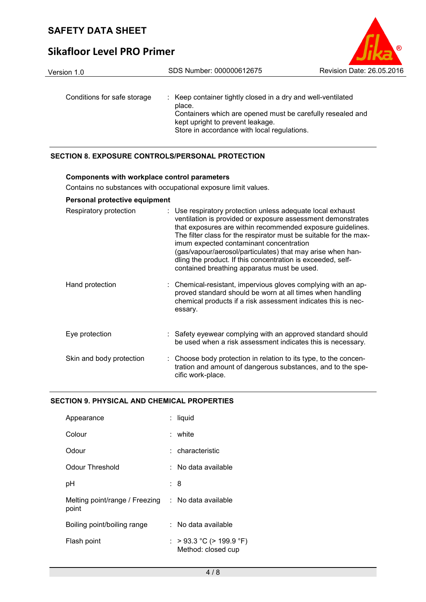# **Sikafloor Level PRO Primer**



### **SECTION 8. EXPOSURE CONTROLS/PERSONAL PROTECTION**

#### **Components with workplace control parameters**

Contains no substances with occupational exposure limit values.

### **Personal protective equipment**

| Respiratory protection   | : Use respiratory protection unless adequate local exhaust<br>ventilation is provided or exposure assessment demonstrates<br>that exposures are within recommended exposure guidelines.<br>The filter class for the respirator must be suitable for the max-<br>imum expected contaminant concentration<br>(gas/vapour/aerosol/particulates) that may arise when han-<br>dling the product. If this concentration is exceeded, self-<br>contained breathing apparatus must be used. |
|--------------------------|-------------------------------------------------------------------------------------------------------------------------------------------------------------------------------------------------------------------------------------------------------------------------------------------------------------------------------------------------------------------------------------------------------------------------------------------------------------------------------------|
| Hand protection          | : Chemical-resistant, impervious gloves complying with an ap-<br>proved standard should be worn at all times when handling<br>chemical products if a risk assessment indicates this is nec-<br>essary.                                                                                                                                                                                                                                                                              |
| Eye protection           | : Safety eyewear complying with an approved standard should<br>be used when a risk assessment indicates this is necessary.                                                                                                                                                                                                                                                                                                                                                          |
| Skin and body protection | : Choose body protection in relation to its type, to the concen-<br>tration and amount of dangerous substances, and to the spe-<br>cific work-place.                                                                                                                                                                                                                                                                                                                                |

### **SECTION 9. PHYSICAL AND CHEMICAL PROPERTIES**

| Appearance                              | : liquid                                          |  |
|-----------------------------------------|---------------------------------------------------|--|
| Colour                                  | : white                                           |  |
| Odour                                   | : characteristic                                  |  |
| Odour Threshold                         | :   No data available                             |  |
| рH                                      | : 8                                               |  |
| Melting point/range / Freezing<br>point | $\therefore$ No data available                    |  |
| Boiling point/boiling range             | : No data available                               |  |
| Flash point                             | : $>93.3$ °C ( $>199.9$ °F)<br>Method: closed cup |  |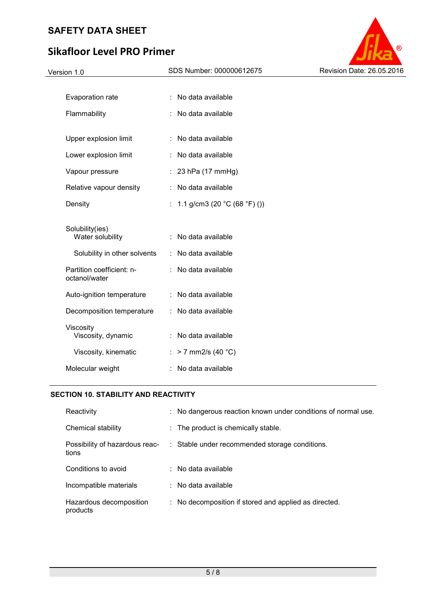# **Sikafloor Level PRO Primer**



| Density                                    | : 1.1 g/cm3 (20 °C (68 °F) ()) |
|--------------------------------------------|--------------------------------|
| Solubility(ies)<br>Water solubility        | :   No data available          |
| Solubility in other solvents               | :   No data available          |
| Partition coefficient: n-<br>octanol/water | : No data available            |
| Auto-ignition temperature                  | : No data available            |
| Decomposition temperature                  | :   No data available          |
| Viscosity<br>Viscosity, dynamic            | : No data available            |
| Viscosity, kinematic                       | : > 7 mm2/s (40 °C)            |
| Molecular weight                           | No data available              |

## **SECTION 10. STABILITY AND REACTIVITY**

| Reactivity                              | : No dangerous reaction known under conditions of normal use. |
|-----------------------------------------|---------------------------------------------------------------|
| Chemical stability                      | : The product is chemically stable.                           |
| Possibility of hazardous reac-<br>tions | : Stable under recommended storage conditions.                |
| Conditions to avoid                     | $\therefore$ No data available                                |
| Incompatible materials                  | $\therefore$ No data available                                |
| Hazardous decomposition<br>products     | : No decomposition if stored and applied as directed.         |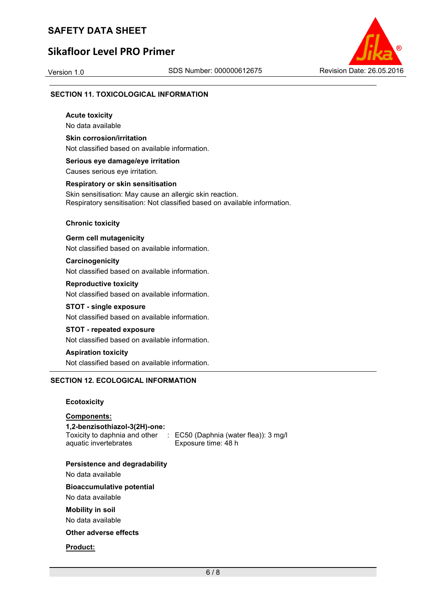# **Sikafloor Level PRO Primer**



### **SECTION 11. TOXICOLOGICAL INFORMATION**

**Acute toxicity**  No data available

**Skin corrosion/irritation**  Not classified based on available information.

**Serious eye damage/eye irritation** 

Causes serious eye irritation.

#### **Respiratory or skin sensitisation**

Skin sensitisation: May cause an allergic skin reaction. Respiratory sensitisation: Not classified based on available information.

#### **Chronic toxicity**

**Germ cell mutagenicity** 

Not classified based on available information.

### **Carcinogenicity**

Not classified based on available information.

#### **Reproductive toxicity**

Not classified based on available information.

#### **STOT - single exposure**

Not classified based on available information.

#### **STOT - repeated exposure**

Not classified based on available information.

### **Aspiration toxicity**

Not classified based on available information.

### **SECTION 12. ECOLOGICAL INFORMATION**

#### **Ecotoxicity**

### **Components:**

**1,2-benzisothiazol-3(2H)-one:**  aquatic invertebrates

Toxicity to daphnia and other : EC50 (Daphnia (water flea)): 3 mg/l Exposure time: 48 h

#### **Persistence and degradability**

No data available

#### **Bioaccumulative potential**

No data available

#### **Mobility in soil**

No data available

### **Other adverse effects**

**Product:**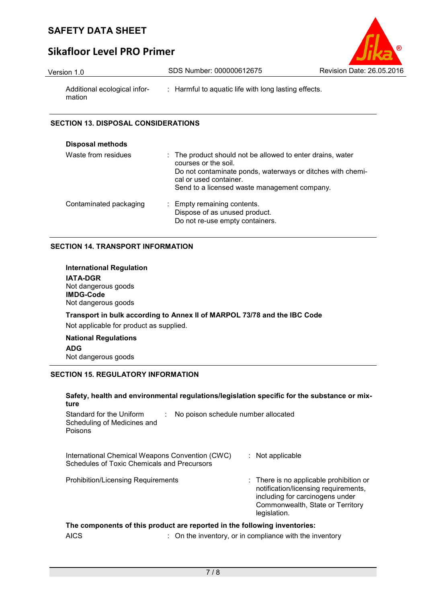

# **Sikafloor Level PRO Primer**

| Version 1.0                            | SDS Number: 000000612675                             | Revision Date: 26.05.2016 |
|----------------------------------------|------------------------------------------------------|---------------------------|
| Additional ecological infor-<br>mation | : Harmful to aquatic life with long lasting effects. |                           |

## **SECTION 13. DISPOSAL CONSIDERATIONS**

| <b>Disposal methods</b> |                                                                                                                                                                                                                            |
|-------------------------|----------------------------------------------------------------------------------------------------------------------------------------------------------------------------------------------------------------------------|
| Waste from residues     | : The product should not be allowed to enter drains, water<br>courses or the soil.<br>Do not contaminate ponds, waterways or ditches with chemi-<br>cal or used container.<br>Send to a licensed waste management company. |
| Contaminated packaging  | : Empty remaining contents.<br>Dispose of as unused product.<br>Do not re-use empty containers.                                                                                                                            |

## **SECTION 14. TRANSPORT INFORMATION**

| International Regulation<br><b>IATA-DGR</b><br>Not dangerous goods<br><b>IMDG-Code</b><br>Not dangerous goods       |  |  |
|---------------------------------------------------------------------------------------------------------------------|--|--|
| Transport in bulk according to Annex II of MARPOL 73/78 and the IBC Code<br>Not applicable for product as supplied. |  |  |
| <b>National Regulations</b><br><b>ADG</b><br>Not dangerous goods                                                    |  |  |

## **SECTION 15. REGULATORY INFORMATION**

| ture                                                                                           |                                                                    | Safety, health and environmental regulations/legislation specific for the substance or mix-                                                                            |
|------------------------------------------------------------------------------------------------|--------------------------------------------------------------------|------------------------------------------------------------------------------------------------------------------------------------------------------------------------|
| Standard for the Uniform<br>Scheduling of Medicines and<br>Poisons                             | No poison schedule number allocated                                |                                                                                                                                                                        |
| International Chemical Weapons Convention (CWC)<br>Schedules of Toxic Chemicals and Precursors |                                                                    | : Not applicable                                                                                                                                                       |
| <b>Prohibition/Licensing Requirements</b>                                                      |                                                                    | : There is no applicable prohibition or<br>notification/licensing requirements,<br>including for carcinogens under<br>Commonwealth, State or Territory<br>legislation. |
| The components of this product are reported in the following inventories:                      |                                                                    |                                                                                                                                                                        |
| <b>AICS</b>                                                                                    | $\therefore$ On the inventory, or in compliance with the inventory |                                                                                                                                                                        |